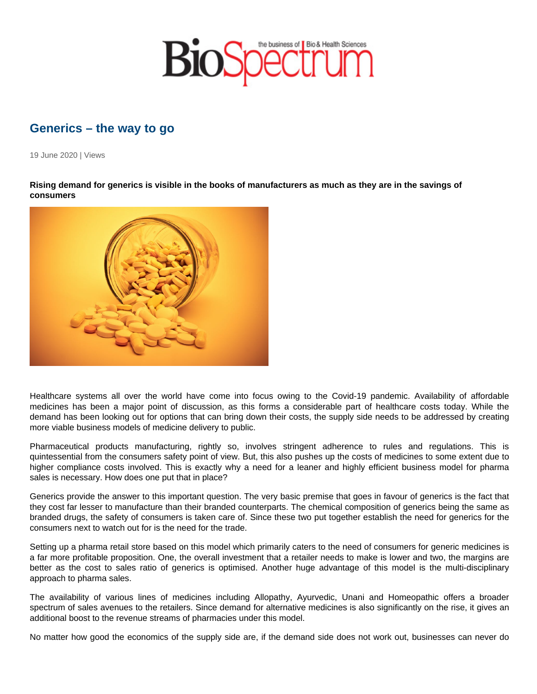## Generics – the way to go

19 June 2020 | Views

Rising demand for generics is visible in the books of manufacturers as much as they are in the savings of consumers

Healthcare systems all over the world have come into focus owing to the Covid-19 pandemic. Availability of affordable medicines has been a major point of discussion, as this forms a considerable part of healthcare costs today. While the demand has been looking out for options that can bring down their costs, the supply side needs to be addressed by creating more viable business models of medicine delivery to public.

Pharmaceutical products manufacturing, rightly so, involves stringent adherence to rules and regulations. This is quintessential from the consumers safety point of view. But, this also pushes up the costs of medicines to some extent due to higher compliance costs involved. This is exactly why a need for a leaner and highly efficient business model for pharma sales is necessary. How does one put that in place?

Generics provide the answer to this important question. The very basic premise that goes in favour of generics is the fact that they cost far lesser to manufacture than their branded counterparts. The chemical composition of generics being the same as branded drugs, the safety of consumers is taken care of. Since these two put together establish the need for generics for the consumers next to watch out for is the need for the trade.

Setting up a pharma retail store based on this model which primarily caters to the need of consumers for generic medicines is a far more profitable proposition. One, the overall investment that a retailer needs to make is lower and two, the margins are better as the cost to sales ratio of generics is optimised. Another huge advantage of this model is the multi-disciplinary approach to pharma sales.

The availability of various lines of medicines including Allopathy, Ayurvedic, Unani and Homeopathic offers a broader spectrum of sales avenues to the retailers. Since demand for alternative medicines is also significantly on the rise, it gives an additional boost to the revenue streams of pharmacies under this model.

No matter how good the economics of the supply side are, if the demand side does not work out, businesses can never do